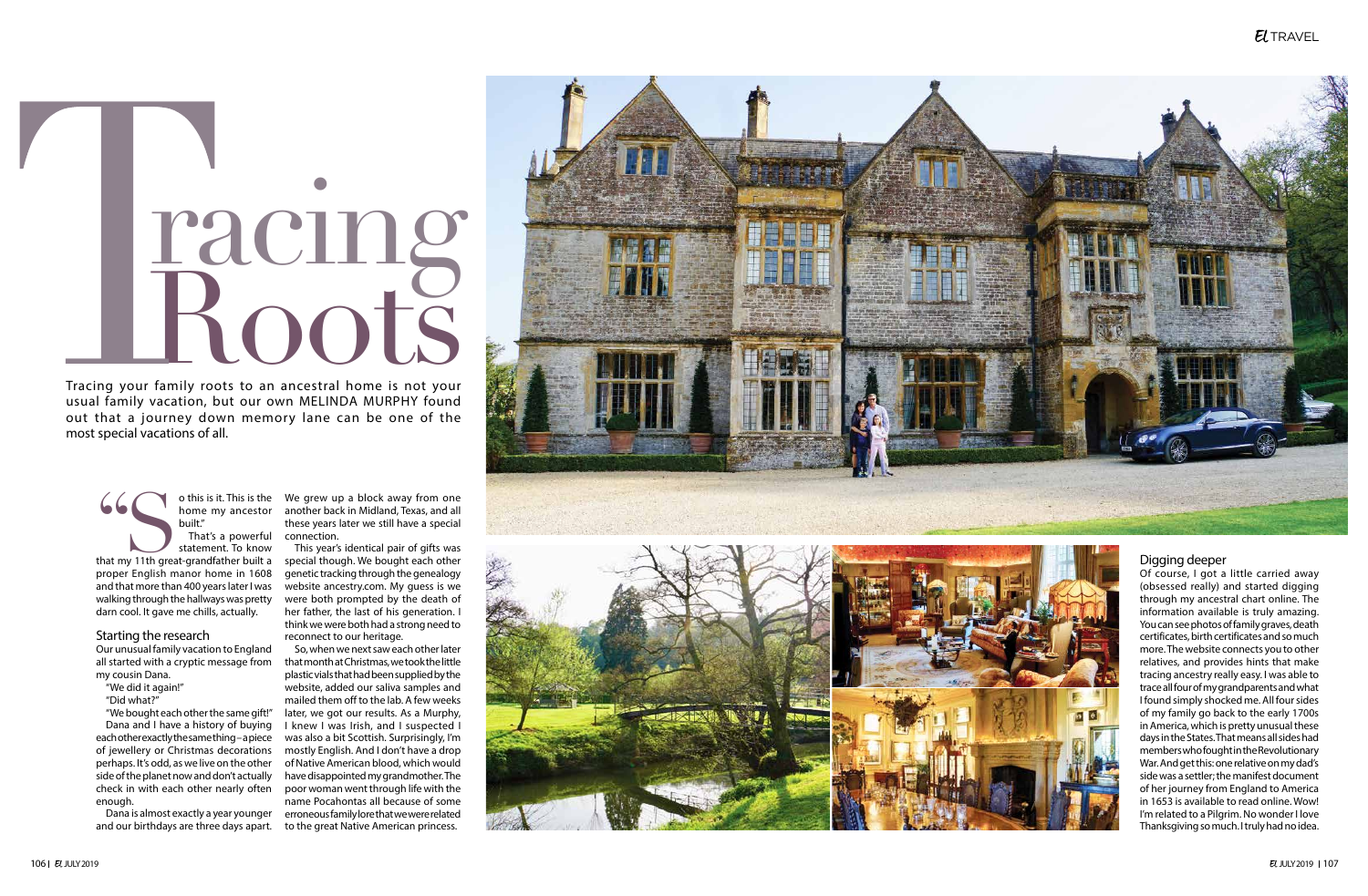# racing Family roots to an ancestral home is not your

Tracing your family roots to an ancestral home is not your usual family vacation, but our own MELINDA MURPHY found out that a journey down memory lane can be one of the most special vacations of all.

o this is it. This is the<br>
home my ancestor<br>
built."<br>
That's a powerful<br>
statement. To know<br>
that my 11th great-grandfather built a home my ancestor built." That's a powerful statement. To know proper English manor home in 1608 and that more than 400 years later I was walking through the hallways was pretty darn cool. It gave me chills, actually.

## Starting the research

Our unusual family vacation to England all started with a cryptic message from my cousin Dana.

- "We did it again!"
- "Did what?"

"We bought each other the same gift!"

Dana and I have a history of buying each other exactly the same thing – a piece of jewellery or Christmas decorations perhaps. It's odd, as we live on the other side of the planet now and don't actually check in with each other nearly often enough.

Dana is almost exactly a year younger and our birthdays are three days apart.

We grew up a block away from one another back in Midland, Texas, and all these years later we still have a special connection.

This year's identical pair of gifts was special though. We bought each other genetic tracking through the genealogy website ancestry.com. My guess is we were both prompted by the death of her father, the last of his generation. I think we were both had a strong need to reconnect to our heritage.

So, when we next saw each other later that month at Christmas, we took the little plastic vials that had been supplied by the website, added our saliva samples and mailed them off to the lab. A few weeks later, we got our results. As a Murphy, I knew I was Irish, and I suspected I was also a bit Scottish. Surprisingly, I'm mostly English. And I don't have a drop of Native American blood, which would have disappointed my grandmother. The poor woman went through life with the name Pocahontas all because of some erroneous family lore that we were related to the great Native American princess.



# $\mathcal U$ TRAVEL

Thanksgiving so much. I truly had no idea.